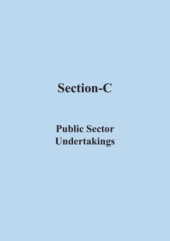# **Section-C**

### **Public Sector Undertakings**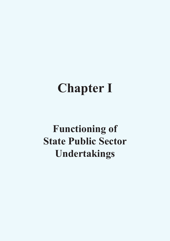# **Chapter I**

### **Functioning of State Public Sector Undertakings**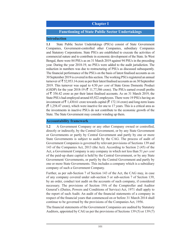#### **Chapter I**

#### **Functioning of State Public Sector Undertakings**

#### **Introduction**

**1.1** State Public Sector Undertakings (PSUs) consist of State Government Companies, Government-controlled other Companies, subsidiary Companies and Statutory Corporations. State PSUs are established to execute the activities of commercial nature and to contribute in economic development of the State. In West Bengal, there were 84 PSUs as on 31 March 2019 against 94 PSUs in the preceding year. During the year 2018-19, no PSUs were added to the audit jurisdiction. The reduction in numbers was due to restructuring of PSUs as discussed subsequently. The financial performance of the PSUs on the basis of latest finalised accounts as on 30 September 2019 is covered in this section. The working PSUs registered an annual turnover of  $\bar{\tau}$  52,953.14 crore as per their latest finalised accounts as on 30 September 2019. This turnover was equal to 4.50 *per cent* of State Gross Domestic Product (GSDP) for the year 2018-19 ( $\bar{\tau}$  11,77,586 crore). The PSUs earned overall profits of  $\bar{\tau}$  356.42 crore as per their latest finalised accounts. As on 31 March 2019, the State PSUs had employed around 45,922 employees. There were 19 PSUs having an investment of  $\bar{\tau}$  1,430.61 crore towards capital ( $\bar{\tau}$  172.14 crore) and long-term loans  $(\bar{\bar{\mathcal{F}}} 1,258.47$  crore), which were inactive for one to 17 years. This is a critical area as the investments in inactive PSUs do not contribute to the economic growth of the State. The State Government may consider winding up them.

#### **Accountability framework**

**1.2** A Government Company or any other Company owned or controlled, directly or indirectly, by the Central Government, or by any State Government or Governments or partly by Central Government and partly by one or more State Governments is subject to audit by the CAG. The process of audit of Government Companies is governed by relevant provisions of Sections 139 and 143 of the Companies Act, 2013 (the Act). According to Section 2 (45) of the Act, a Government Company is any company in which not less than 51 *per cent* of the paid-up share capital is held by the Central Government, or by any State Government/ Governments, or partly by the Central Government and partly by one or more State Governments. This includes a company which is a subsidiary company of such a Government Company.

Further, as per sub-Section 7 of Section 143 of the Act, the CAG may, in case of any company covered under sub-section 5 or sub-section 7 of Section 139, by an order, conduct test audit on the accounts of such company, if considered necessary. The provisions of Section 19A of the Comptroller and Auditor General's (Duties, Powers and Conditions of Service) Act, 1971 shall apply to the report of such Audit. An audit of the financial statements of a company in respect of the financial years that commenced on or before 31 March 2014 shall continue to be governed by the provisions of the Companies Act, 1956.

The financial statements of the Government Companies are audited by Statutory Auditors, appointed by CAG as per the provisions of Sections 139 (5) or 139 (7)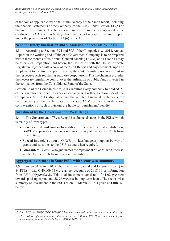of the Act, as applicable, who shall submit a copy of their audit report, including the financial statements of the Company, to the CAG, under Section 143(5) of the Act. These financial statements are subject to supplementary audit to be conducted by CAG within 60 days from the date of receipt of the audit report under the provisions of Section 143 (6) of the Act.

#### **Need for timely finalisation and submission of accounts by PSUs**

**1.3** According to Sections 394 and 395 of the Companies Act 2013, Annual Report on the working and affairs of a Government Company, is to be prepared within three months of its Annual General Meeting (AGM) and as soon as may be after such preparation laid before the Houses or both the Houses of State Legislature together with a copy of the Audit Report and any comments upon or supplement to the Audit Report, made by the CAG. Similar provisions exist in the respective Acts regulating statutory corporations. This mechanism provides the necessary legislative control over the utilisation of public funds invested in the companies from the Consolidated Fund of the State.

Section 96 of the Companies Act, 2013 requires every company to hold AGM of the shareholders once in every calendar year. Further, Section 129 of the Companies Act, 2013 stipulates that the audited Financial Statements for the financial year have to be placed in the said AGM for their consideration; contraventions of such provisions are liable for punishment/ penalty.

#### **Investment by the Government of West Bengal**

**1.4** The Government of West Bengal has financial stakes in the PSUs, which is mainly of three types:

- **Share capital and loans** In addition to the share capital contribution, GoWB also provides financial assistance by way of loans to the PSUs from time to time.
- **Special financial support** GoWB provides budgetary support by way of grants and subsidies to the PSUs as and when required.
- **Guarantees** GoWB also guarantees the repayment of loans, with interest, availed by the PSUs from Financial Institutions.

#### **Aggregate investment in State PSUs with sector-wise summary**

**1.5** As on 31 March 2019, the investment (capital and long-term loans) in 84 PSUs<sup>156</sup> was  $\bar{\tau}$  40,009.68 crore as per accounts of 2018-19 or information from PSUs (*Appendix-8*). This total investment consisted of 41.02 *per cent* towards paid-up capital and 58.98 *per cent* in long-term loans. The sector-wise summary of investment in the PSUs as on 31 March 2019 is given at **Table 1.1**  below:

<sup>156</sup> *One PSU viz. WBSCST&OBCD&FC has not submitted either accounts for its first year (2017‑18) or information on investment etc. as of 31 March 2019. Hence, investment figures have been taken from the Audit Report (PSUs) 2017-18.*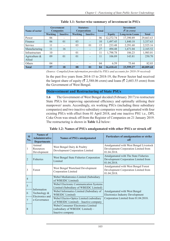| Name of sector             | <b>Government</b><br><b>Companies</b> |                          | <b>Statutory</b><br><b>Corporations</b> |                 | <b>Total</b> | <b>Investment</b><br>$\mathcal{R}$ in crore) |                        |              |
|----------------------------|---------------------------------------|--------------------------|-----------------------------------------|-----------------|--------------|----------------------------------------------|------------------------|--------------|
|                            | <b>Working</b>                        | <b>Inactive</b>          | <b>Working</b>                          | <b>Inactive</b> |              | <b>Equity</b>                                | <b>Long-term Loans</b> | <b>Total</b> |
| Power                      | 06                                    | -                        | $\overline{\phantom{a}}$                |                 | 06           | 12,272.74                                    | 17,390.89              | 29,663.63    |
| Finance                    | 06                                    | 0 <sub>1</sub>           | 03                                      |                 | 10           | 1,497.45                                     | 1,840.18               | 3,337.63     |
| Service                    | 11                                    | $\overline{\phantom{0}}$ | 03                                      | 0 <sub>1</sub>  | 15           | 233.48                                       | 2,291.68               | 2,525.16     |
| Manufacturing              | 11                                    | 16                       | $\overline{\phantom{0}}$                |                 | 27           | 494.48                                       | 1,671.04               | 2,165.52     |
| Infrastructure             | 10                                    | -                        | 01                                      |                 | 11           | 1,798.78                                     | 186.23                 | 1,985.01     |
| Agriculture $\&$<br>Allied | 09                                    | 0 <sub>1</sub>           | 0 <sub>1</sub>                          |                 | 11           | 106.89                                       | 143.81                 | 250.70       |
| Others                     | 04                                    |                          | $\overline{\phantom{a}}$                |                 | 04           | 6.59                                         | 75.44                  | 82.03        |
| <b>Total</b>               | 57                                    | 18                       | 08                                      | $\overline{01}$ | 84           | 16,410.41                                    | 23,599.27              | 40,009.68    |

#### **Table 1.1: Sector-wise summary of investment in PSUs**

*(Source: Compiled from information provided by PSUs and accounts for 2018‑19 received)*

In the past five years from 2014–15 to 2018–19, the Power Sector had received the largest share of equity ( $\bar{\tau}$  2,588.06 crore) and loans ( $\bar{\tau}$  2,603.55 crore) from the Government of West Bengal.

#### **Disinvestment and Restructuring of State PSUs**

**1.6** The Government of West Bengal decided (February 2017) to restructure State PSUs for improving operational efficiency and optimally utilising their manpower/ assets. Accordingly, six working PSUs (including three subsidiary companies) and two inactive subsidiary companies were amalgamated with four existing PSUs with effect from 01 April 2018, and one inactive PSU i.e., DPL Coke Oven was struck off from the Register of Companies on 21 January 2019. The restructuring is shown in **Table 1.2** below:

| <b>SI</b><br>No. | <b>Names</b> of<br><b>Administrative</b><br><b>Departments</b>     | <b>Names of PSUs amalgamated</b>                                                                              | Particulars of amalgamation or strike<br>off                                                                    |  |  |
|------------------|--------------------------------------------------------------------|---------------------------------------------------------------------------------------------------------------|-----------------------------------------------------------------------------------------------------------------|--|--|
| 1                | Animal<br>Resources<br>Development                                 | West Bengal Dairy & Poultry<br>Development Corporation Limited                                                | Amalgamated with West Bengal Livestock<br>Development Corporation Limited from<br>01.04.2018.                   |  |  |
| $\overline{2}$   | <b>Fisheries</b>                                                   | West Bengal State Fisheries Corporation<br>Limited                                                            | Amalgamated with The State Fisheries<br>Development Corporation Limited from<br>01.04.2018.                     |  |  |
| 3                | West Bengal Wasteland Development<br>Forest<br>Corporation Limited |                                                                                                               | Amalgamated with West Bengal Forest<br>Development Corporation Limited from<br>01.04.2018.                      |  |  |
| $\overline{4}$   |                                                                    | Webel Mediatronics Limited (Subsidiary<br>of WBEIDC Limited)<br><b>Webel Electronic Communication Systems</b> |                                                                                                                 |  |  |
| 5                | Information<br>Technology &<br>Electronics and<br>e-Governance     | Limited (Subsidiary of WBEIDC Limited)                                                                        |                                                                                                                 |  |  |
| 6                |                                                                    | Webel Informatics Limited (Subsidiary of<br><b>WBEIDC</b> Limited)                                            | Amalgamated with West Bengal<br><b>Electronics Industry Development</b><br>Corporation Limited from 01.04.2018. |  |  |
| 7                |                                                                    | Webel Electro-Optics Limited (subsidiary<br>of WBEIDC Limited) - Inactive company                             |                                                                                                                 |  |  |
| 8                |                                                                    | Webel Consumer Electronics Limited<br>(subsidiary of WBEIDC Limited) -<br>Inactive company                    |                                                                                                                 |  |  |

**Table 1.2: Names of PSUs amalgamated with other PSUs or struck off**